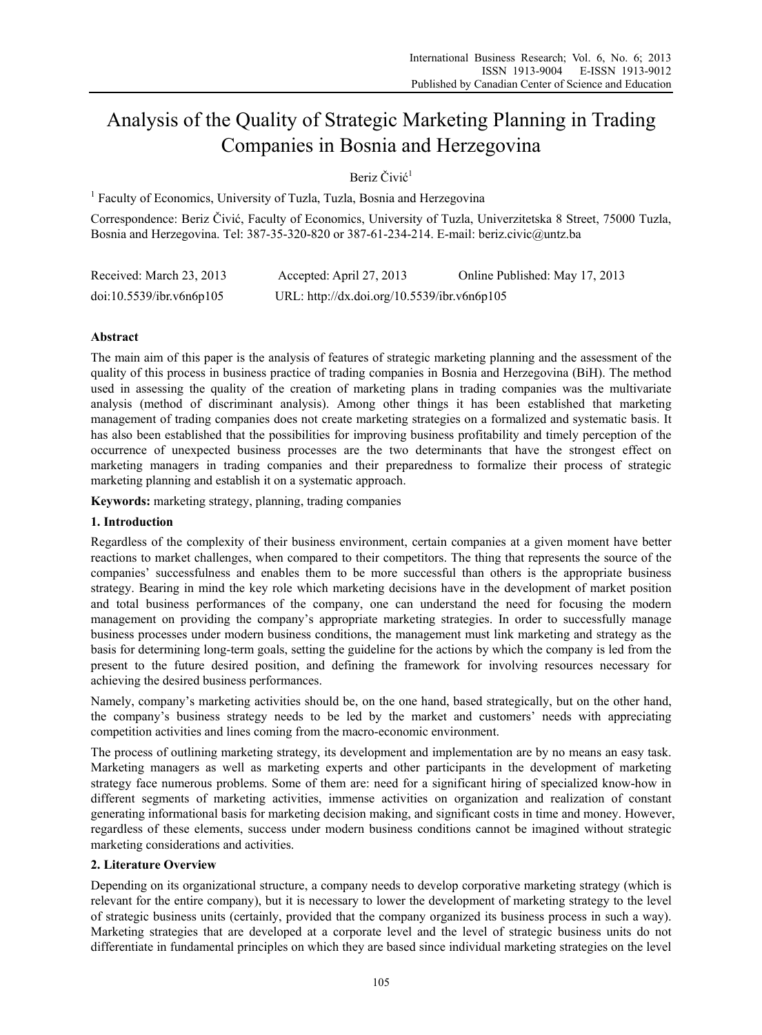# Analysis of the Quality of Strategic Marketing Planning in Trading Companies in Bosnia and Herzegovina

Beriz Čivić 1

<sup>1</sup> Faculty of Economics, University of Tuzla, Tuzla, Bosnia and Herzegovina

Correspondence: Beriz Čivić, Faculty of Economics, University of Tuzla, Univerzitetska 8 Street, 75000 Tuzla, Bosnia and Herzegovina. Tel: 387-35-320-820 or 387-61-234-214. E-mail: beriz.civic@untz.ba

| Received: March 23, 2013 | Accepted: April 27, 2013                    | Online Published: May 17, 2013 |
|--------------------------|---------------------------------------------|--------------------------------|
| doi:10.5539/ibr.v6n6p105 | URL: http://dx.doi.org/10.5539/ibr.v6n6p105 |                                |

# **Abstract**

The main aim of this paper is the analysis of features of strategic marketing planning and the assessment of the quality of this process in business practice of trading companies in Bosnia and Herzegovina (BiH). The method used in assessing the quality of the creation of marketing plans in trading companies was the multivariate analysis (method of discriminant analysis). Among other things it has been established that marketing management of trading companies does not create marketing strategies on a formalized and systematic basis. It has also been established that the possibilities for improving business profitability and timely perception of the occurrence of unexpected business processes are the two determinants that have the strongest effect on marketing managers in trading companies and their preparedness to formalize their process of strategic marketing planning and establish it on a systematic approach.

**Keywords:** marketing strategy, planning, trading companies

# **1. Introduction**

Regardless of the complexity of their business environment, certain companies at a given moment have better reactions to market challenges, when compared to their competitors. The thing that represents the source of the companies' successfulness and enables them to be more successful than others is the appropriate business strategy. Bearing in mind the key role which marketing decisions have in the development of market position and total business performances of the company, one can understand the need for focusing the modern management on providing the company's appropriate marketing strategies. In order to successfully manage business processes under modern business conditions, the management must link marketing and strategy as the basis for determining long-term goals, setting the guideline for the actions by which the company is led from the present to the future desired position, and defining the framework for involving resources necessary for achieving the desired business performances.

Namely, company's marketing activities should be, on the one hand, based strategically, but on the other hand, the company's business strategy needs to be led by the market and customers' needs with appreciating competition activities and lines coming from the macro-economic environment.

The process of outlining marketing strategy, its development and implementation are by no means an easy task. Marketing managers as well as marketing experts and other participants in the development of marketing strategy face numerous problems. Some of them are: need for a significant hiring of specialized know-how in different segments of marketing activities, immense activities on organization and realization of constant generating informational basis for marketing decision making, and significant costs in time and money. However, regardless of these elements, success under modern business conditions cannot be imagined without strategic marketing considerations and activities.

# **2. Literature Overview**

Depending on its organizational structure, a company needs to develop corporative marketing strategy (which is relevant for the entire company), but it is necessary to lower the development of marketing strategy to the level of strategic business units (certainly, provided that the company organized its business process in such a way). Marketing strategies that are developed at a corporate level and the level of strategic business units do not differentiate in fundamental principles on which they are based since individual marketing strategies on the level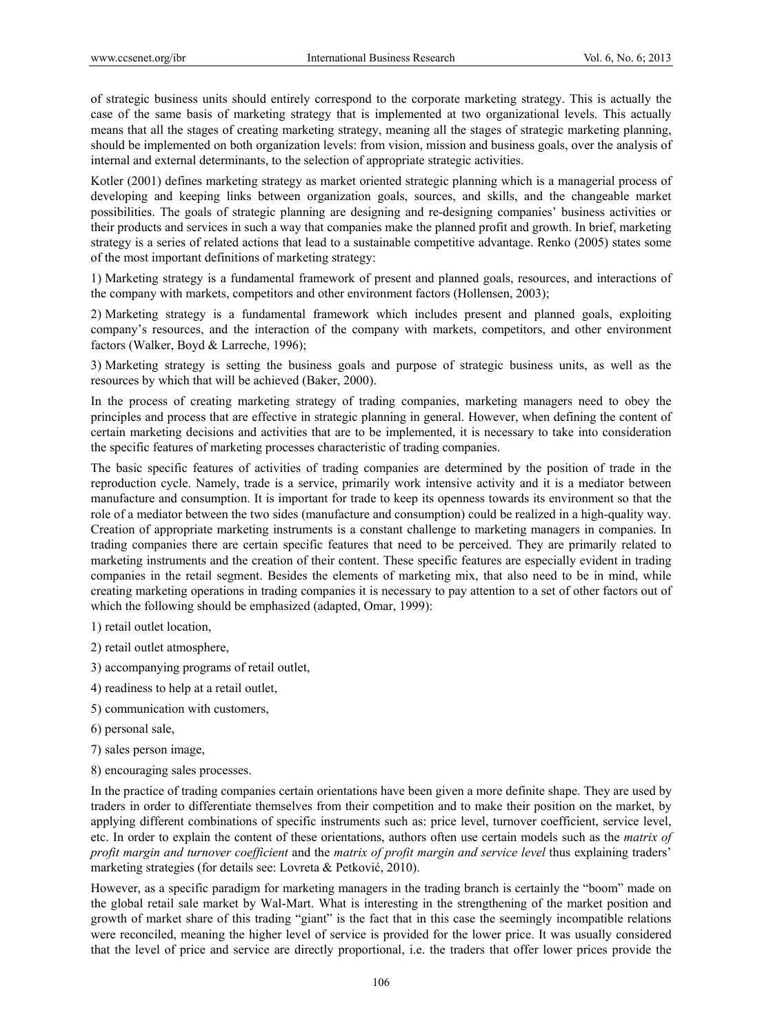of strategic business units should entirely correspond to the corporate marketing strategy. This is actually the case of the same basis of marketing strategy that is implemented at two organizational levels. This actually means that all the stages of creating marketing strategy, meaning all the stages of strategic marketing planning, should be implemented on both organization levels: from vision, mission and business goals, over the analysis of internal and external determinants, to the selection of appropriate strategic activities.

Kotler (2001) defines marketing strategy as market oriented strategic planning which is a managerial process of developing and keeping links between organization goals, sources, and skills, and the changeable market possibilities. The goals of strategic planning are designing and re-designing companies' business activities or their products and services in such a way that companies make the planned profit and growth. In brief, marketing strategy is a series of related actions that lead to a sustainable competitive advantage. Renko (2005) states some of the most important definitions of marketing strategy:

1) Marketing strategy is a fundamental framework of present and planned goals, resources, and interactions of the company with markets, competitors and other environment factors (Hollensen, 2003);

2) Marketing strategy is a fundamental framework which includes present and planned goals, exploiting company's resources, and the interaction of the company with markets, competitors, and other environment factors (Walker, Boyd & Larreche, 1996);

3) Marketing strategy is setting the business goals and purpose of strategic business units, as well as the resources by which that will be achieved (Baker, 2000).

In the process of creating marketing strategy of trading companies, marketing managers need to obey the principles and process that are effective in strategic planning in general. However, when defining the content of certain marketing decisions and activities that are to be implemented, it is necessary to take into consideration the specific features of marketing processes characteristic of trading companies.

The basic specific features of activities of trading companies are determined by the position of trade in the reproduction cycle. Namely, trade is a service, primarily work intensive activity and it is a mediator between manufacture and consumption. It is important for trade to keep its openness towards its environment so that the role of a mediator between the two sides (manufacture and consumption) could be realized in a high-quality way. Creation of appropriate marketing instruments is a constant challenge to marketing managers in companies. In trading companies there are certain specific features that need to be perceived. They are primarily related to marketing instruments and the creation of their content. These specific features are especially evident in trading companies in the retail segment. Besides the elements of marketing mix, that also need to be in mind, while creating marketing operations in trading companies it is necessary to pay attention to a set of other factors out of which the following should be emphasized (adapted, Omar, 1999):

1) retail outlet location,

- 2) retail outlet atmosphere,
- 3) accompanying programs of retail outlet,
- 4) readiness to help at a retail outlet,
- 5) communication with customers,
- 6) personal sale,
- 7) sales person image,
- 8) encouraging sales processes.

In the practice of trading companies certain orientations have been given a more definite shape. They are used by traders in order to differentiate themselves from their competition and to make their position on the market, by applying different combinations of specific instruments such as: price level, turnover coefficient, service level, etc. In order to explain the content of these orientations, authors often use certain models such as the *matrix of profit margin and turnover coefficient* and the *matrix of profit margin and service level* thus explaining traders' marketing strategies (for details see: Lovreta & Petković, 2010).

However, as a specific paradigm for marketing managers in the trading branch is certainly the "boom" made on the global retail sale market by Wal-Mart. What is interesting in the strengthening of the market position and growth of market share of this trading "giant" is the fact that in this case the seemingly incompatible relations were reconciled, meaning the higher level of service is provided for the lower price. It was usually considered that the level of price and service are directly proportional, i.e. the traders that offer lower prices provide the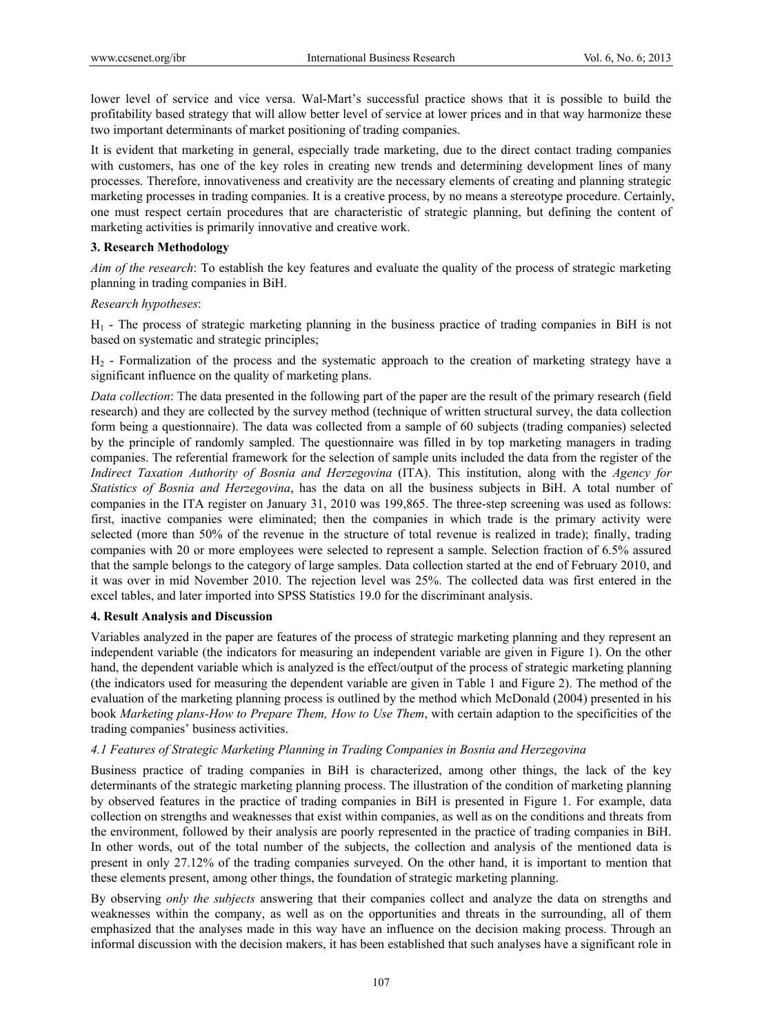lower level of service and vice versa. Wal-Mart's successful practice shows that it is possible to build the profitability based strategy that will allow better level of service at lower prices and in that way harmonize these two important determinants of market positioning of trading companies.

It is evident that marketing in general, especially trade marketing, due to the direct contact trading companies with customers, has one of the key roles in creating new trends and determining development lines of many processes. Therefore, innovativeness and creativity are the necessary elements of creating and planning strategic marketing processes in trading companies. It is a creative process, by no means a stereotype procedure. Certainly, one must respect certain procedures that are characteristic of strategic planning, but defining the content of marketing activities is primarily innovative and creative work.

## **3. Research Methodology**

*Aim of the research*: To establish the key features and evaluate the quality of the process of strategic marketing planning in trading companies in BiH.

## *Research hypotheses*:

H1 - The process of strategic marketing planning in the business practice of trading companies in BiH is not based on systematic and strategic principles;

H2 - Formalization of the process and the systematic approach to the creation of marketing strategy have a significant influence on the quality of marketing plans.

*Data collection*: The data presented in the following part of the paper are the result of the primary research (field research) and they are collected by the survey method (technique of written structural survey, the data collection form being a questionnaire). The data was collected from a sample of 60 subjects (trading companies) selected by the principle of randomly sampled. The questionnaire was filled in by top marketing managers in trading companies. The referential framework for the selection of sample units included the data from the register of the *Indirect Taxation Authority of Bosnia and Herzegovina* (ITA). This institution, along with the *Agency for Statistics of Bosnia and Herzegovina*, has the data on all the business subjects in BiH. A total number of companies in the ITA register on January 31, 2010 was 199,865. The three-step screening was used as follows: first, inactive companies were eliminated; then the companies in which trade is the primary activity were selected (more than 50% of the revenue in the structure of total revenue is realized in trade); finally, trading companies with 20 or more employees were selected to represent a sample. Selection fraction of 6.5% assured that the sample belongs to the category of large samples. Data collection started at the end of February 2010, and it was over in mid November 2010. The rejection level was 25%. The collected data was first entered in the excel tables, and later imported into SPSS Statistics 19.0 for the discriminant analysis.

## **4. Result Analysis and Discussion**

Variables analyzed in the paper are features of the process of strategic marketing planning and they represent an independent variable (the indicators for measuring an independent variable are given in Figure 1). On the other hand, the dependent variable which is analyzed is the effect/output of the process of strategic marketing planning (the indicators used for measuring the dependent variable are given in Table 1 and Figure 2). The method of the evaluation of the marketing planning process is outlined by the method which McDonald (2004) presented in his book *Marketing plans-How to Prepare Them, How to Use Them*, with certain adaption to the specificities of the trading companies' business activities.

## *4.1 Features of Strategic Marketing Planning in Trading Companies in Bosnia and Herzegovina*

Business practice of trading companies in BiH is characterized, among other things, the lack of the key determinants of the strategic marketing planning process. The illustration of the condition of marketing planning by observed features in the practice of trading companies in BiH is presented in Figure 1. For example, data collection on strengths and weaknesses that exist within companies, as well as on the conditions and threats from the environment, followed by their analysis are poorly represented in the practice of trading companies in BiH. In other words, out of the total number of the subjects, the collection and analysis of the mentioned data is present in only 27.12% of the trading companies surveyed. On the other hand, it is important to mention that these elements present, among other things, the foundation of strategic marketing planning.

By observing *only the subjects* answering that their companies collect and analyze the data on strengths and weaknesses within the company, as well as on the opportunities and threats in the surrounding, all of them emphasized that the analyses made in this way have an influence on the decision making process. Through an informal discussion with the decision makers, it has been established that such analyses have a significant role in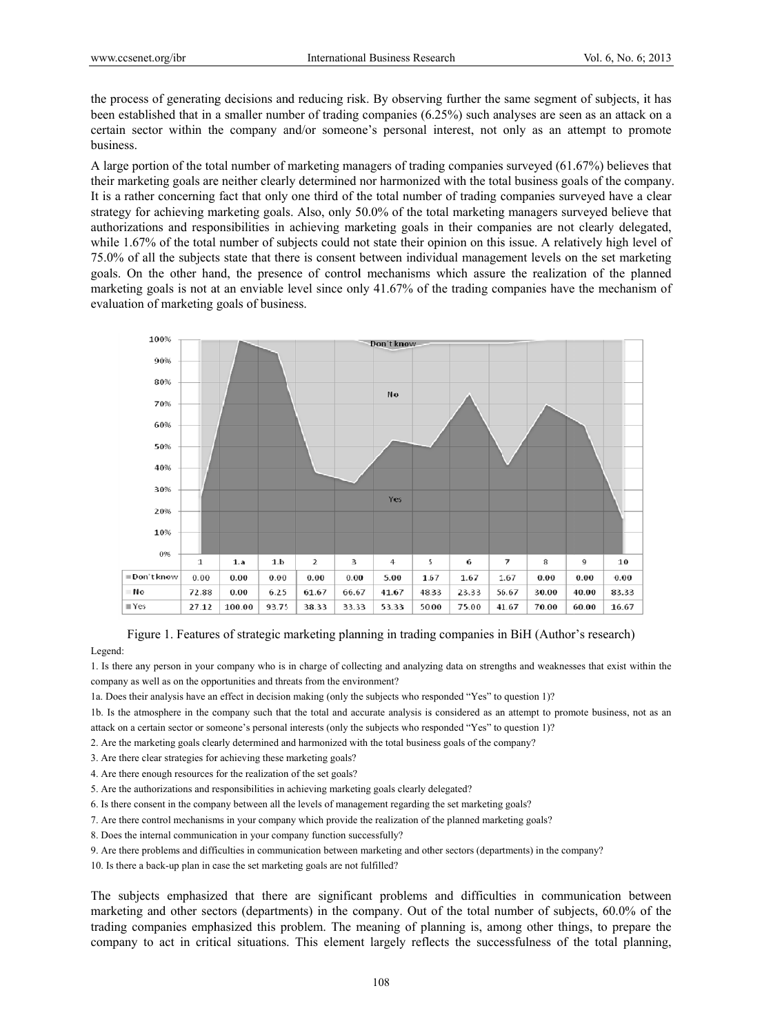the process of generating decisions and reducing risk. By observing further the same segment of subjects, it has been established that in a smaller number of trading companies  $(6.25\%)$  such analyses are seen as an attack on a certain sector within the company and/or someone's personal interest, not only as an attempt to promote business.

A large portion of the total number of marketing managers of trading companies surveyed (61.67%) believes that their marketing goals are neither clearly determined nor harmonized with the total business goals of the company. It is a rather concerning fact that only one third of the total number of trading companies surveyed have a clear strategy for achieving marketing goals. Also, only 50.0% of the total marketing managers surveyed believe that authorizations and responsibilities in achieving marketing goals in their companies are not clearly delegated, while 1.67% of the total number of subjects could not state their opinion on this issue. A relatively high level of 75.0% of all the subjects state that there is consent between individual management levels on the set marketing goals. On the other hand, the presence of control mechanisms which assure the realization of the planned marketing goals is not at an enviable level since only 41.67% of the trading companies have the mechanism of evaluation of marketing goals of business.



Figure 1. Features of strategic marketing planning in trading companies in BiH (Author's research)

#### Legend:

1. Is there any person in your company who is in charge of collecting and analyzing data on strengths and weaknesses that exist within the company as well as on the opportunities and threats from the environment?

1a. Does their analysis have an effect in decision making (only the subjects who responded "Yes" to question 1)?

1b. Is the atmosphere in the company such that the total and accurate analysis is considered as an attempt to promote business, not as an attack on a certain sector or someone's personal interests (only the subjects who responded "Yes" to question 1)?

2. Are the marketing goals clearly determined and harmonized with the total business goals of the company?

- 3. Are there clear strategies for achieving these marketing goals?
- 4. Are there enough resources for the realization of the set goals?
- 5. Are the authorizations and responsibilities in achieving marketing goals clearly delegated?
- 6. Is there consent in the company between all the levels of management regarding the set marketing goals?
- 7. Are there control mechanisms in your company which provide the realization of the planned marketing goals?
- 8. Does the internal communication in your company function successfully?
- 9. Are there problems and difficulties in communication between marketing and other sectors (departments) in the company?
- 10. Is there a back-up plan in case the set marketing goals are not fulfilled?

The subjects emphasized that there are significant problems and difficulties in communication between marketing and other sectors (departments) in the company. Out of the total number of subjects, 60.0% of the trading companies emphasized this problem. The meaning of planning is, among other things, to prepare the company to act in critical situations. This element largely reflects the successfulness of the total planning,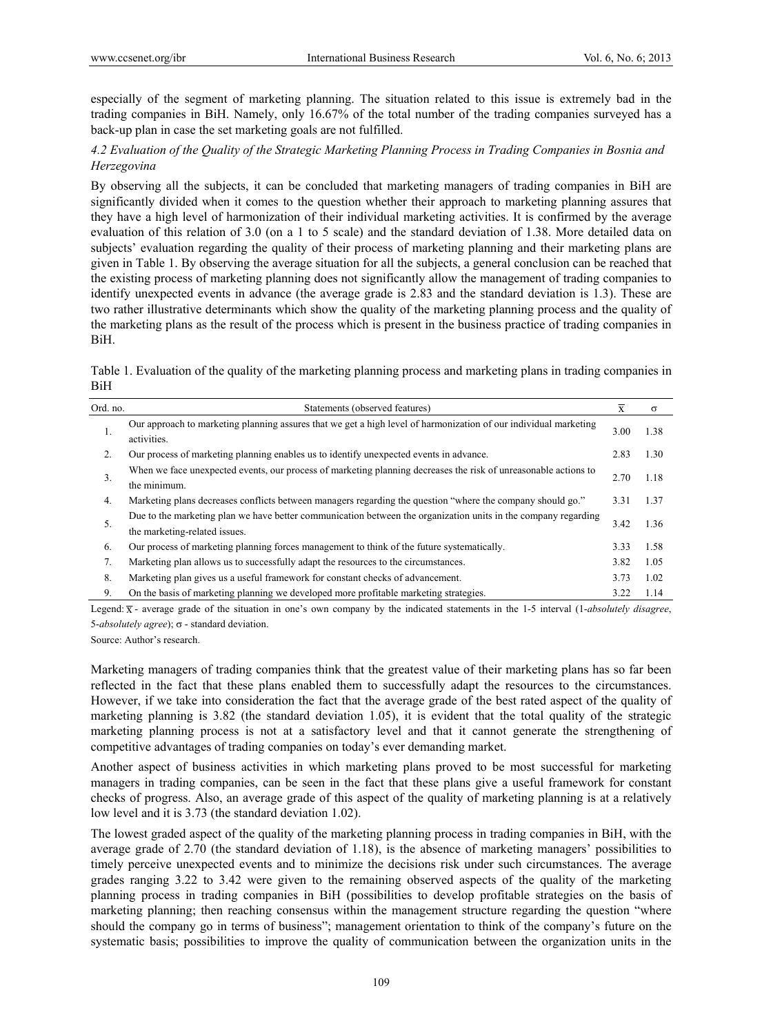especially of the segment of marketing planning. The situation related to this issue is extremely bad in the trading companies in BiH. Namely, only 16.67% of the total number of the trading companies surveyed has a back-up plan in case the set marketing goals are not fulfilled.

# *4.2 Evaluation of the Quality of the Strategic Marketing Planning Process in Trading Companies in Bosnia and Herzegovina*

By observing all the subjects, it can be concluded that marketing managers of trading companies in BiH are significantly divided when it comes to the question whether their approach to marketing planning assures that they have a high level of harmonization of their individual marketing activities. It is confirmed by the average evaluation of this relation of 3.0 (on a 1 to 5 scale) and the standard deviation of 1.38. More detailed data on subjects' evaluation regarding the quality of their process of marketing planning and their marketing plans are given in Table 1. By observing the average situation for all the subjects, a general conclusion can be reached that the existing process of marketing planning does not significantly allow the management of trading companies to identify unexpected events in advance (the average grade is 2.83 and the standard deviation is 1.3). These are two rather illustrative determinants which show the quality of the marketing planning process and the quality of the marketing plans as the result of the process which is present in the business practice of trading companies in BiH.

Table 1. Evaluation of the quality of the marketing planning process and marketing plans in trading companies in BiH

| Ord. no. | Statements (observed features)                                                                                                                  | X    | $\sigma$ |
|----------|-------------------------------------------------------------------------------------------------------------------------------------------------|------|----------|
| 1.       | Our approach to marketing planning assures that we get a high level of harmonization of our individual marketing<br>activities.                 | 3.00 | 1.38     |
| 2.       | Our process of marketing planning enables us to identify unexpected events in advance.                                                          | 2.83 | 1.30     |
| 3.       | When we face unexpected events, our process of marketing planning decreases the risk of unreasonable actions to<br>the minimum.                 | 2.70 | 1.18     |
| 4.       | Marketing plans decreases conflicts between managers regarding the question "where the company should go."                                      | 3.31 | 1.37     |
| 5.       | Due to the marketing plan we have better communication between the organization units in the company regarding<br>the marketing-related issues. | 3.42 | 1.36     |
| 6.       | Our process of marketing planning forces management to think of the future systematically.                                                      | 3.33 | 1.58     |
| 7.       | Marketing plan allows us to successfully adapt the resources to the circumstances.                                                              | 3.82 | 1.05     |
| 8.       | Marketing plan gives us a useful framework for constant checks of advancement.                                                                  | 3.73 | 1.02     |
| 9.       | On the basis of marketing planning we developed more profitable marketing strategies.                                                           | 3.22 | 1.14     |

Legend:  $\overline{x}$  - average grade of the situation in one's own company by the indicated statements in the 1-5 interval (1-*absolutely disagree*,  $5-absolutely agree$ ;  $\sigma$  - standard deviation.

Source: Author's research.

Marketing managers of trading companies think that the greatest value of their marketing plans has so far been reflected in the fact that these plans enabled them to successfully adapt the resources to the circumstances. However, if we take into consideration the fact that the average grade of the best rated aspect of the quality of marketing planning is 3.82 (the standard deviation 1.05), it is evident that the total quality of the strategic marketing planning process is not at a satisfactory level and that it cannot generate the strengthening of competitive advantages of trading companies on today's ever demanding market.

Another aspect of business activities in which marketing plans proved to be most successful for marketing managers in trading companies, can be seen in the fact that these plans give a useful framework for constant checks of progress. Also, an average grade of this aspect of the quality of marketing planning is at a relatively low level and it is 3.73 (the standard deviation 1.02).

The lowest graded aspect of the quality of the marketing planning process in trading companies in BiH, with the average grade of 2.70 (the standard deviation of 1.18), is the absence of marketing managers' possibilities to timely perceive unexpected events and to minimize the decisions risk under such circumstances. The average grades ranging 3.22 to 3.42 were given to the remaining observed aspects of the quality of the marketing planning process in trading companies in BiH (possibilities to develop profitable strategies on the basis of marketing planning; then reaching consensus within the management structure regarding the question "where should the company go in terms of business"; management orientation to think of the company's future on the systematic basis; possibilities to improve the quality of communication between the organization units in the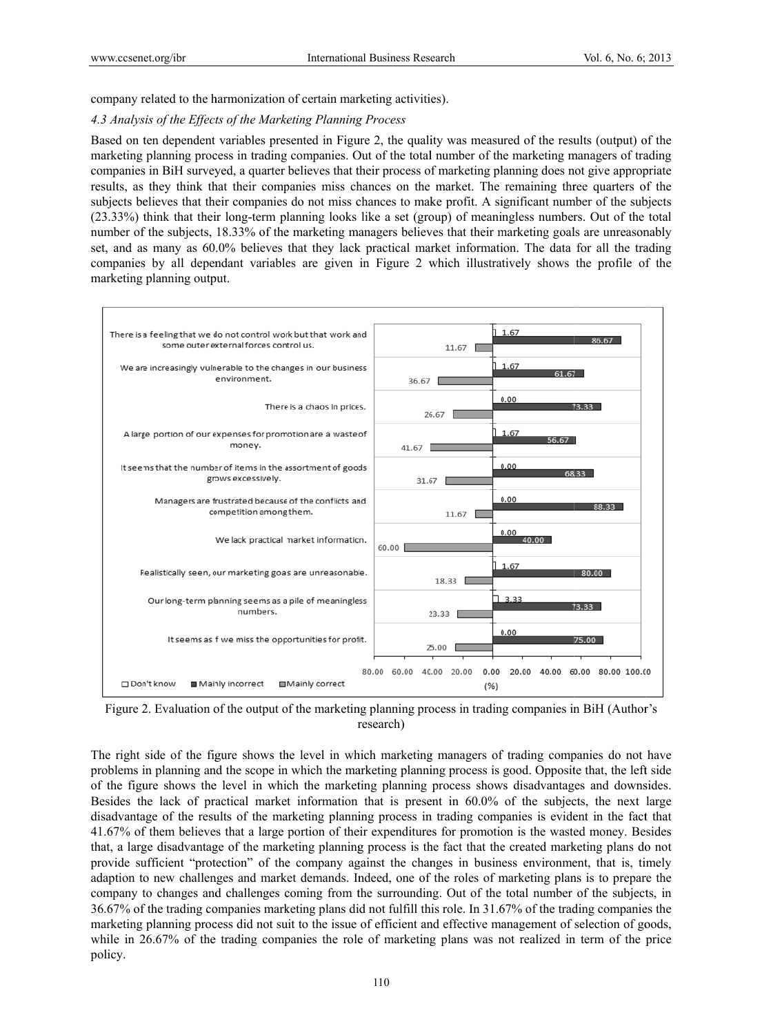company related to the harmonization of certain marketing activities).

## 4.3 Analysis of the Effects of the Marketing Planning Process

Based on ten dependent variables presented in Figure 2, the quality was measured of the results (output) of the marketing planning process in trading companies. Out of the total number of the marketing managers of trading companies in BiH surveyed, a quarter believes that their process of marketing planning does not give appropriate results, as they think that their companies miss chances on the market. The remaining three quarters of the subjects believes that their companies do not miss chances to make profit. A significant number of the subjects (23.33%) think that their long-term planning looks like a set (group) of meaningless numbers. Out of the total number of the subjects, 18.33% of the marketing managers believes that their marketing goals are unreasonably set, and as many as 60.0% believes that they lack practical market information. The data for all the trading companies by all dependant variables are given in Figure 2 which illustratively shows the profile of the marketing planning output.



Figure 2. Evaluation of the output of the marketing planning process in trading companies in BiH (Author's research)

The right side of the figure shows the level in which marketing managers of trading companies do not have problems in planning and the scope in which the marketing planning process is good. Opposite that, the left side of the figure shows the level in which the marketing planning process shows disadvantages and downsides. Besides the lack of practical market information that is present in 60.0% of the subjects, the next large disadvantage of the results of the marketing planning process in trading companies is evident in the fact that 41.67% of them believes that a large portion of their expenditures for promotion is the wasted money. Besides that, a large disadvantage of the marketing planning process is the fact that the created marketing plans do not provide sufficient "protection" of the company against the changes in business environment, that is, timely adaption to new challenges and market demands. Indeed, one of the roles of marketing plans is to prepare the company to changes and challenges coming from the surrounding. Out of the total number of the subjects, in 36.67% of the trading companies marketing plans did not fulfill this role. In 31.67% of the trading companies the marketing planning process did not suit to the issue of efficient and effective management of selection of goods, while in 26.67% of the trading companies the role of marketing plans was not realized in term of the price policy.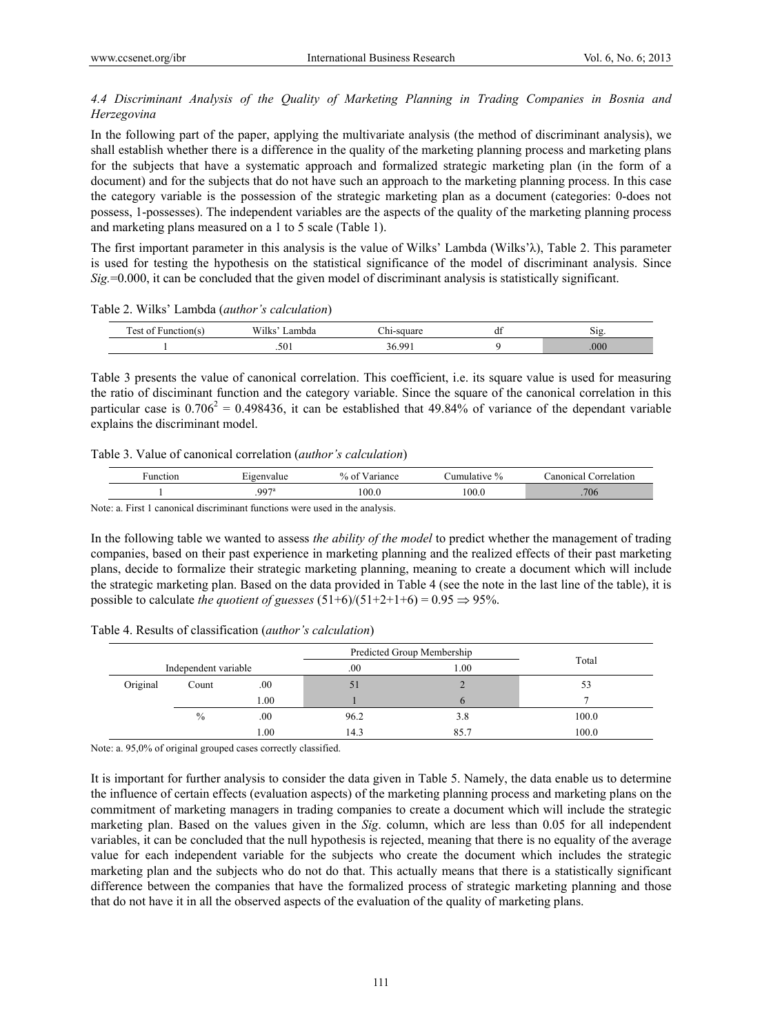# *4.4 Discriminant Analysis of the Quality of Marketing Planning in Trading Companies in Bosnia and Herzegovina*

In the following part of the paper, applying the multivariate analysis (the method of discriminant analysis), we shall establish whether there is a difference in the quality of the marketing planning process and marketing plans for the subjects that have a systematic approach and formalized strategic marketing plan (in the form of a document) and for the subjects that do not have such an approach to the marketing planning process. In this case the category variable is the possession of the strategic marketing plan as a document (categories: 0-does not possess, 1-possesses). The independent variables are the aspects of the quality of the marketing planning process and marketing plans measured on a 1 to 5 scale (Table 1).

The first important parameter in this analysis is the value of Wilks' Lambda (Wilks'λ), Table 2. This parameter is used for testing the hypothesis on the statistical significance of the model of discriminant analysis. Since *Sig.*=0.000, it can be concluded that the given model of discriminant analysis is statistically significant.

Table 2. Wilks' Lambda (*author's calculation*)

| $\sim$<br>$A^{\alpha+}$<br>$\alpha$ tion | -----<br>Wilks<br>ambda | <br>., | ີ | $\mathbf{r}$<br>ЮR |  |
|------------------------------------------|-------------------------|--------|---|--------------------|--|
|                                          | .501                    | 36.99  |   | 000 <sub>1</sub>   |  |

Table 3 presents the value of canonical correlation. This coefficient, i.e. its square value is used for measuring the ratio of disciminant function and the category variable. Since the square of the canonical correlation in this particular case is  $0.706^2 = 0.498436$ , it can be established that 49.84% of variance of the dependant variable explains the discriminant model.

|  |  |  |  | Table 3. Value of canonical correlation (author's calculation) |  |  |  |  |
|--|--|--|--|----------------------------------------------------------------|--|--|--|--|
|--|--|--|--|----------------------------------------------------------------|--|--|--|--|

| Function | Eigenvalue          | $%$ of<br>Variance | Cumulative % | `anonical<br>orrelation |
|----------|---------------------|--------------------|--------------|-------------------------|
|          | $.997$ <sup>a</sup> | 0.00               | 100.0        | .706                    |

Note: a. First 1 canonical discriminant functions were used in the analysis.

In the following table we wanted to assess *the ability of the model* to predict whether the management of trading companies, based on their past experience in marketing planning and the realized effects of their past marketing plans, decide to formalize their strategic marketing planning, meaning to create a document which will include the strategic marketing plan. Based on the data provided in Table 4 (see the note in the last line of the table), it is possible to calculate *the quotient of guesses*  $(51+6)/(51+2+1+6) = 0.95 \implies 95\%$ .

Table 4. Results of classification (*author's calculation*)

|                      |       |      | Predicted Group Membership | Total |       |  |
|----------------------|-------|------|----------------------------|-------|-------|--|
| Independent variable |       |      | .00.                       | 1.00  |       |  |
| Original             | Count | .00. | D.                         | ∠     | 53    |  |
|                      | 1.00  |      |                            | n     |       |  |
|                      | $\%$  | .00. | 96.2                       | 3.8   | 100.0 |  |
|                      |       | 1.00 | 14.3                       | 85.7  | 100.0 |  |

Note: a. 95,0% of original grouped cases correctly classified.

It is important for further analysis to consider the data given in Table 5. Namely, the data enable us to determine the influence of certain effects (evaluation aspects) of the marketing planning process and marketing plans on the commitment of marketing managers in trading companies to create a document which will include the strategic marketing plan. Based on the values given in the *Sig*. column, which are less than 0.05 for all independent variables, it can be concluded that the null hypothesis is rejected, meaning that there is no equality of the average value for each independent variable for the subjects who create the document which includes the strategic marketing plan and the subjects who do not do that. This actually means that there is a statistically significant difference between the companies that have the formalized process of strategic marketing planning and those that do not have it in all the observed aspects of the evaluation of the quality of marketing plans.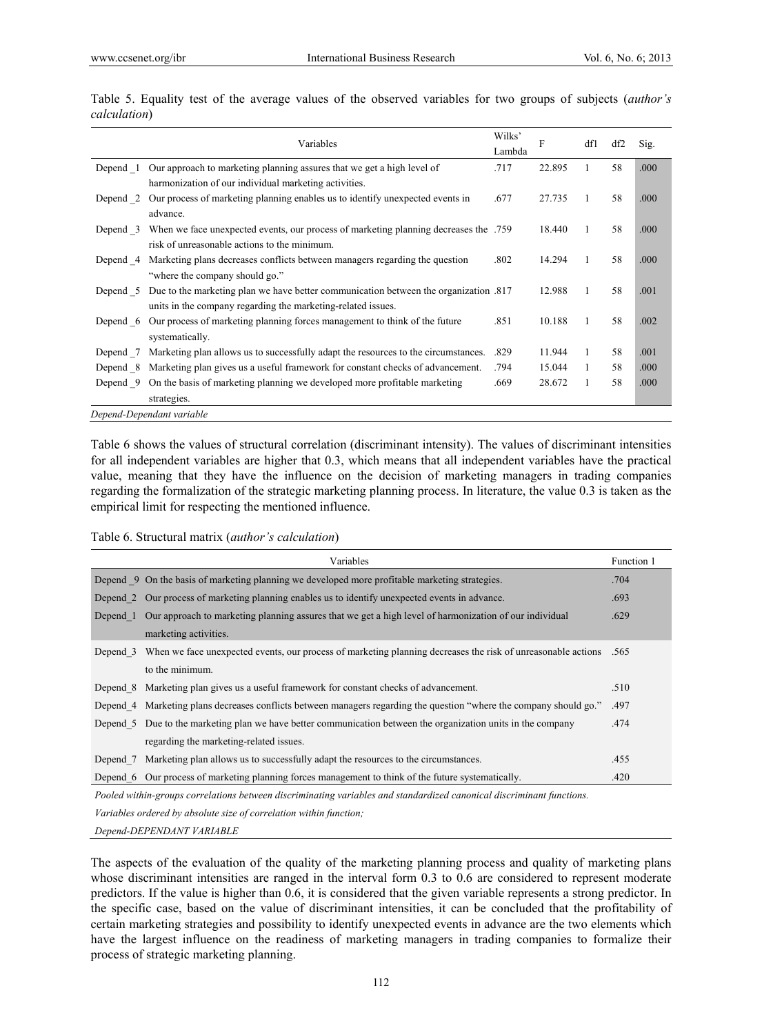|          | Variables                                                                            | Wilks'<br>Lambda | F      | df1          | df2 | Sig. |
|----------|--------------------------------------------------------------------------------------|------------------|--------|--------------|-----|------|
| Depend 1 | Our approach to marketing planning assures that we get a high level of               | .717             | 22.895 | 1            | 58  | .000 |
|          | harmonization of our individual marketing activities.                                |                  |        |              |     |      |
| Depend 2 | Our process of marketing planning enables us to identify unexpected events in        | .677             | 27.735 | 1            | 58  | .000 |
|          | advance.                                                                             |                  |        |              |     |      |
| Depend 3 | When we face unexpected events, our process of marketing planning decreases the .759 |                  | 18.440 | $\mathbf{1}$ | 58  | .000 |
|          | risk of unreasonable actions to the minimum.                                         |                  |        |              |     |      |
| Depend 4 | Marketing plans decreases conflicts between managers regarding the question          | .802             | 14.294 | $\mathbf{1}$ | 58  | .000 |
|          | "where the company should go."                                                       |                  |        |              |     |      |
| Depend 5 | Due to the marketing plan we have better communication between the organization .817 |                  | 12.988 | 1            | 58  | .001 |
|          | units in the company regarding the marketing-related issues.                         |                  |        |              |     |      |
| Depend 6 | Our process of marketing planning forces management to think of the future           | .851             | 10.188 | 1            | 58  | .002 |
|          | systematically.                                                                      |                  |        |              |     |      |
| Depend 7 | Marketing plan allows us to successfully adapt the resources to the circumstances.   | .829             | 11.944 | 1            | 58  | .001 |
| Depend 8 | Marketing plan gives us a useful framework for constant checks of advancement.       | .794             | 15.044 | $\mathbf{1}$ | 58  | .000 |
| Depend 9 | On the basis of marketing planning we developed more profitable marketing            | .669             | 28.672 | 1            | 58  | .000 |
|          | strategies.                                                                          |                  |        |              |     |      |
|          | Depend-Dependant variable                                                            |                  |        |              |     |      |

Table 5. Equality test of the average values of the observed variables for two groups of subjects (*author's calculation*)

Table 6 shows the values of structural correlation (discriminant intensity). The values of discriminant intensities for all independent variables are higher that 0.3, which means that all independent variables have the practical value, meaning that they have the influence on the decision of marketing managers in trading companies regarding the formalization of the strategic marketing planning process. In literature, the value 0.3 is taken as the empirical limit for respecting the mentioned influence.

#### Table 6. Structural matrix (*author's calculation*)

|          | Variables                                                                                                             | Function 1 |
|----------|-----------------------------------------------------------------------------------------------------------------------|------------|
|          | Depend 9 On the basis of marketing planning we developed more profitable marketing strategies.                        | .704       |
|          | Depend 2 Our process of marketing planning enables us to identify unexpected events in advance.                       | .693       |
|          | Depend 1 Our approach to marketing planning assures that we get a high level of harmonization of our individual       | .629       |
|          | marketing activities.                                                                                                 |            |
|          | Depend 3 When we face unexpected events, our process of marketing planning decreases the risk of unreasonable actions | .565       |
|          | to the minimum.                                                                                                       |            |
|          | Depend 8 Marketing plan gives us a useful framework for constant checks of advancement.                               | .510       |
|          | Depend 4 Marketing plans decreases conflicts between managers regarding the question "where the company should go."   | .497       |
|          | Depend 5 Due to the marketing plan we have better communication between the organization units in the company         | .474       |
|          | regarding the marketing-related issues.                                                                               |            |
| Depend 7 | Marketing plan allows us to successfully adapt the resources to the circumstances.                                    | .455       |
|          | Depend 6 Our process of marketing planning forces management to think of the future systematically.                   | .420       |
|          | Pooled within-groups correlations between discriminating variables and standardized canonical discriminant functions. |            |

*Variables ordered by absolute size of correlation within function;* 

*Depend-DEPENDANT VARIABLE* 

The aspects of the evaluation of the quality of the marketing planning process and quality of marketing plans whose discriminant intensities are ranged in the interval form 0.3 to 0.6 are considered to represent moderate predictors. If the value is higher than 0.6, it is considered that the given variable represents a strong predictor. In the specific case, based on the value of discriminant intensities, it can be concluded that the profitability of certain marketing strategies and possibility to identify unexpected events in advance are the two elements which have the largest influence on the readiness of marketing managers in trading companies to formalize their process of strategic marketing planning.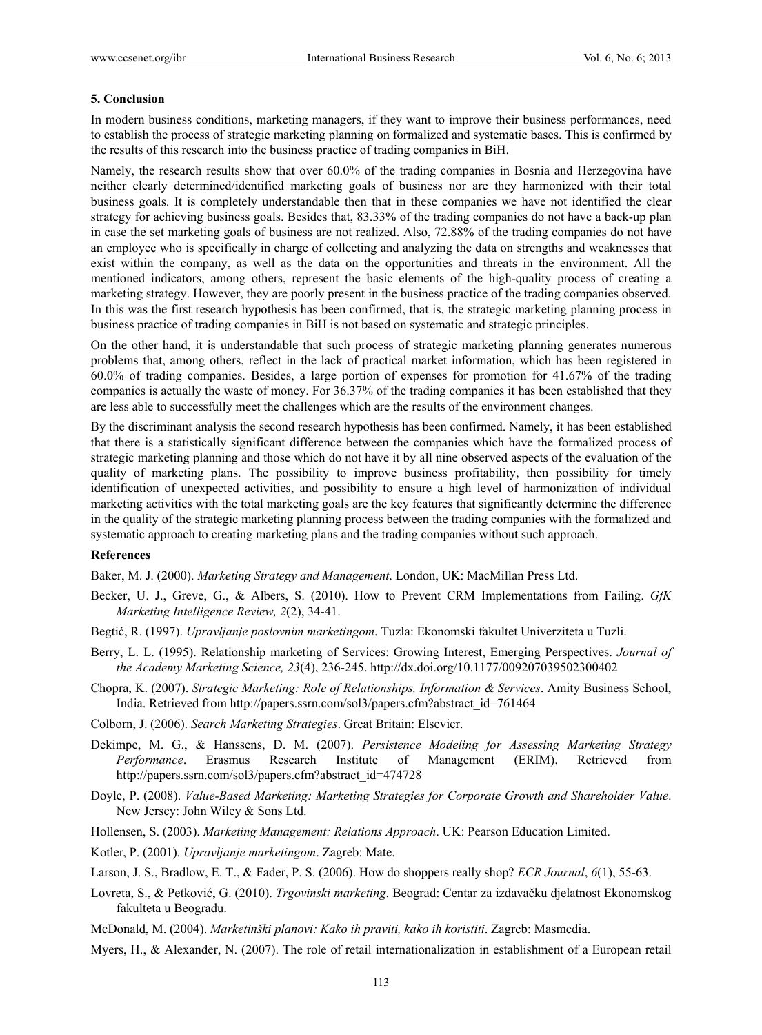#### **5. Conclusion**

In modern business conditions, marketing managers, if they want to improve their business performances, need to establish the process of strategic marketing planning on formalized and systematic bases. This is confirmed by the results of this research into the business practice of trading companies in BiH.

Namely, the research results show that over 60.0% of the trading companies in Bosnia and Herzegovina have neither clearly determined/identified marketing goals of business nor are they harmonized with their total business goals. It is completely understandable then that in these companies we have not identified the clear strategy for achieving business goals. Besides that, 83.33% of the trading companies do not have a back-up plan in case the set marketing goals of business are not realized. Also, 72.88% of the trading companies do not have an employee who is specifically in charge of collecting and analyzing the data on strengths and weaknesses that exist within the company, as well as the data on the opportunities and threats in the environment. All the mentioned indicators, among others, represent the basic elements of the high-quality process of creating a marketing strategy. However, they are poorly present in the business practice of the trading companies observed. In this was the first research hypothesis has been confirmed, that is, the strategic marketing planning process in business practice of trading companies in BiH is not based on systematic and strategic principles.

On the other hand, it is understandable that such process of strategic marketing planning generates numerous problems that, among others, reflect in the lack of practical market information, which has been registered in 60.0% of trading companies. Besides, a large portion of expenses for promotion for 41.67% of the trading companies is actually the waste of money. For 36.37% of the trading companies it has been established that they are less able to successfully meet the challenges which are the results of the environment changes.

By the discriminant analysis the second research hypothesis has been confirmed. Namely, it has been established that there is a statistically significant difference between the companies which have the formalized process of strategic marketing planning and those which do not have it by all nine observed aspects of the evaluation of the quality of marketing plans. The possibility to improve business profitability, then possibility for timely identification of unexpected activities, and possibility to ensure a high level of harmonization of individual marketing activities with the total marketing goals are the key features that significantly determine the difference in the quality of the strategic marketing planning process between the trading companies with the formalized and systematic approach to creating marketing plans and the trading companies without such approach.

#### **References**

Baker, M. J. (2000). *Marketing Strategy and Management*. London, UK: MacMillan Press Ltd.

- Becker, U. J., Greve, G., & Albers, S. (2010). How to Prevent CRM Implementations from Failing. *GfK Marketing Intelligence Review, 2*(2), 34-41.
- Begtić, R. (1997). *Upravljanje poslovnim marketingom*. Tuzla: Ekonomski fakultet Univerziteta u Tuzli.
- Berry, L. L. (1995). Relationship marketing of Services: Growing Interest, Emerging Perspectives. *Journal of the Academy Marketing Science, 23*(4), 236-245. http://dx.doi.org/10.1177/009207039502300402
- Chopra, K. (2007). *Strategic Marketing: Role of Relationships, Information & Services*. Amity Business School, India. Retrieved from http://papers.ssrn.com/sol3/papers.cfm?abstract\_id=761464

Colborn, J. (2006). *Search Marketing Strategies*. Great Britain: Elsevier.

- Dekimpe, M. G., & Hanssens, D. M. (2007). *Persistence Modeling for Assessing Marketing Strategy Performance*. Erasmus Research Institute of Management (ERIM). Retrieved from http://papers.ssrn.com/sol3/papers.cfm?abstract\_id=474728
- Doyle, P. (2008). *Value-Based Marketing: Marketing Strategies for Corporate Growth and Shareholder Value*. New Jersey: John Wiley & Sons Ltd.
- Hollensen, S. (2003). *Marketing Management: Relations Approach*. UK: Pearson Education Limited.
- Kotler, P. (2001). *Upravljanje marketingom*. Zagreb: Mate.
- Larson, J. S., Bradlow, E. T., & Fader, P. S. (2006). How do shoppers really shop? *ECR Journal*, *6*(1), 55-63.
- Lovreta, S., & Petković, G. (2010). *Trgovinski marketing*. Beograd: Centar za izdavačku djelatnost Ekonomskog fakulteta u Beogradu.
- McDonald, M. (2004). *Marketinški planovi: Kako ih praviti, kako ih koristiti*. Zagreb: Masmedia.
- Myers, H., & Alexander, N. (2007). The role of retail internationalization in establishment of a European retail